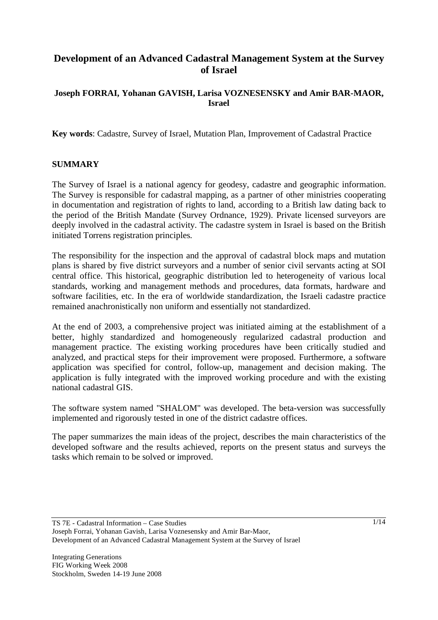# **Development of an Advanced Cadastral Management System at the Survey of Israel**

### **Joseph FORRAI, Yohanan GAVISH, Larisa VOZNESENSKY and Amir BAR-MAOR, Israel**

**Key words**: Cadastre, Survey of Israel, Mutation Plan, Improvement of Cadastral Practice

#### **SUMMARY**

The Survey of Israel is a national agency for geodesy, cadastre and geographic information. The Survey is responsible for cadastral mapping, as a partner of other ministries cooperating in documentation and registration of rights to land, according to a British law dating back to the period of the British Mandate (Survey Ordnance, 1929). Private licensed surveyors are deeply involved in the cadastral activity. The cadastre system in Israel is based on the British initiated Torrens registration principles.

The responsibility for the inspection and the approval of cadastral block maps and mutation plans is shared by five district surveyors and a number of senior civil servants acting at SOI central office. This historical, geographic distribution led to heterogeneity of various local standards, working and management methods and procedures, data formats, hardware and software facilities, etc. In the era of worldwide standardization, the Israeli cadastre practice remained anachronistically non uniform and essentially not standardized.

At the end of 2003, a comprehensive project was initiated aiming at the establishment of a better, highly standardized and homogeneously regularized cadastral production and management practice. The existing working procedures have been critically studied and analyzed, and practical steps for their improvement were proposed. Furthermore, a software application was specified for control, follow-up, management and decision making. The application is fully integrated with the improved working procedure and with the existing national cadastral GIS.

The software system named "SHALOM" was developed. The beta-version was successfully implemented and rigorously tested in one of the district cadastre offices.

The paper summarizes the main ideas of the project, describes the main characteristics of the developed software and the results achieved, reports on the present status and surveys the tasks which remain to be solved or improved.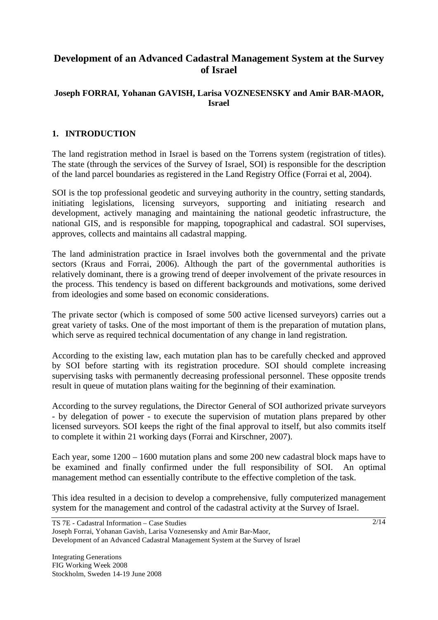# **Development of an Advanced Cadastral Management System at the Survey of Israel**

### **Joseph FORRAI, Yohanan GAVISH, Larisa VOZNESENSKY and Amir BAR-MAOR, Israel**

# **1. INTRODUCTION**

The land registration method in Israel is based on the Torrens system (registration of titles). The state (through the services of the Survey of Israel, SOI) is responsible for the description of the land parcel boundaries as registered in the Land Registry Office (Forrai et al, 2004).

SOI is the top professional geodetic and surveying authority in the country, setting standards, initiating legislations, licensing surveyors, supporting and initiating research and development, actively managing and maintaining the national geodetic infrastructure, the national GIS, and is responsible for mapping, topographical and cadastral. SOI supervises, approves, collects and maintains all cadastral mapping.

The land administration practice in Israel involves both the governmental and the private sectors (Kraus and Forrai, 2006). Although the part of the governmental authorities is relatively dominant, there is a growing trend of deeper involvement of the private resources in the process. This tendency is based on different backgrounds and motivations, some derived from ideologies and some based on economic considerations.

The private sector (which is composed of some 500 active licensed surveyors) carries out a great variety of tasks. One of the most important of them is the preparation of mutation plans, which serve as required technical documentation of any change in land registration.

According to the existing law, each mutation plan has to be carefully checked and approved by SOI before starting with its registration procedure. SOI should complete increasing supervising tasks with permanently decreasing professional personnel. These opposite trends result in queue of mutation plans waiting for the beginning of their examination.

According to the survey regulations, the Director General of SOI authorized private surveyors - by delegation of power - to execute the supervision of mutation plans prepared by other licensed surveyors. SOI keeps the right of the final approval to itself, but also commits itself to complete it within 21 working days (Forrai and Kirschner, 2007).

Each year, some 1200 – 1600 mutation plans and some 200 new cadastral block maps have to be examined and finally confirmed under the full responsibility of SOI. An optimal management method can essentially contribute to the effective completion of the task.

This idea resulted in a decision to develop a comprehensive, fully computerized management system for the management and control of the cadastral activity at the Survey of Israel.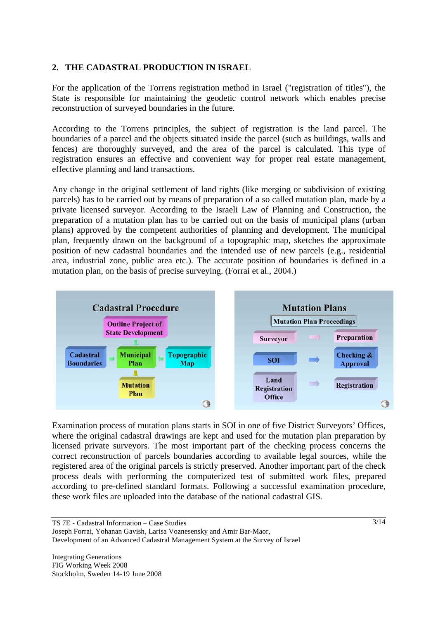### **2. THE CADASTRAL PRODUCTION IN ISRAEL**

For the application of the Torrens registration method in Israel ("registration of titles"), the State is responsible for maintaining the geodetic control network which enables precise reconstruction of surveyed boundaries in the future.

According to the Torrens principles, the subject of registration is the land parcel. The boundaries of a parcel and the objects situated inside the parcel (such as buildings, walls and fences) are thoroughly surveyed, and the area of the parcel is calculated. This type of registration ensures an effective and convenient way for proper real estate management, effective planning and land transactions.

Any change in the original settlement of land rights (like merging or subdivision of existing parcels) has to be carried out by means of preparation of a so called mutation plan, made by a private licensed surveyor. According to the Israeli Law of Planning and Construction, the preparation of a mutation plan has to be carried out on the basis of municipal plans (urban plans) approved by the competent authorities of planning and development. The municipal plan, frequently drawn on the background of a topographic map, sketches the approximate position of new cadastral boundaries and the intended use of new parcels (e.g., residential area, industrial zone, public area etc.). The accurate position of boundaries is defined in a mutation plan, on the basis of precise surveying. (Forrai et al., 2004.)



Examination process of mutation plans starts in SOI in one of five District Surveyors' Offices, where the original cadastral drawings are kept and used for the mutation plan preparation by licensed private surveyors. The most important part of the checking process concerns the correct reconstruction of parcels boundaries according to available legal sources, while the registered area of the original parcels is strictly preserved. Another important part of the check process deals with performing the computerized test of submitted work files, prepared according to pre-defined standard formats. Following a successful examination procedure, these work files are uploaded into the database of the national cadastral GIS.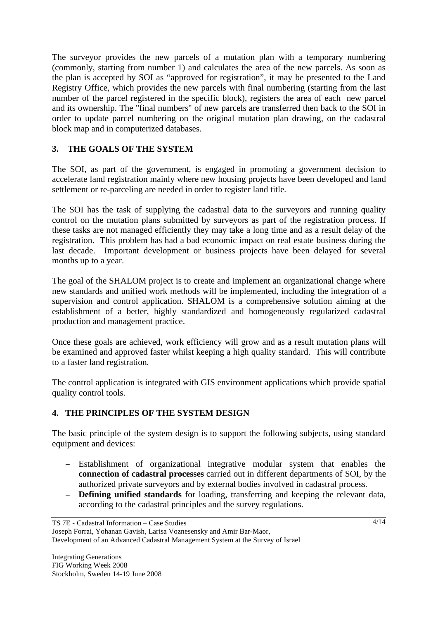The surveyor provides the new parcels of a mutation plan with a temporary numbering (commonly, starting from number 1) and calculates the area of the new parcels. As soon as the plan is accepted by SOI as "approved for registration", it may be presented to the Land Registry Office, which provides the new parcels with final numbering (starting from the last number of the parcel registered in the specific block), registers the area of each new parcel and its ownership. The "final numbers" of new parcels are transferred then back to the SOI in order to update parcel numbering on the original mutation plan drawing, on the cadastral block map and in computerized databases.

# **3. THE GOALS OF THE SYSTEM**

The SOI, as part of the government, is engaged in promoting a government decision to accelerate land registration mainly where new housing projects have been developed and land settlement or re-parceling are needed in order to register land title.

The SOI has the task of supplying the cadastral data to the surveyors and running quality control on the mutation plans submitted by surveyors as part of the registration process. If these tasks are not managed efficiently they may take a long time and as a result delay of the registration. This problem has had a bad economic impact on real estate business during the last decade. Important development or business projects have been delayed for several months up to a year.

The goal of the SHALOM project is to create and implement an organizational change where new standards and unified work methods will be implemented, including the integration of a supervision and control application. SHALOM is a comprehensive solution aiming at the establishment of a better, highly standardized and homogeneously regularized cadastral production and management practice.

Once these goals are achieved, work efficiency will grow and as a result mutation plans will be examined and approved faster whilst keeping a high quality standard. This will contribute to a faster land registration.

The control application is integrated with GIS environment applications which provide spatial quality control tools.

# **4. THE PRINCIPLES OF THE SYSTEM DESIGN**

The basic principle of the system design is to support the following subjects, using standard equipment and devices:

- Establishment of organizational integrative modular system that enables the **connection of cadastral processes** carried out in different departments of SOI, by the authorized private surveyors and by external bodies involved in cadastral process.
- **Defining unified standards** for loading, transferring and keeping the relevant data, according to the cadastral principles and the survey regulations.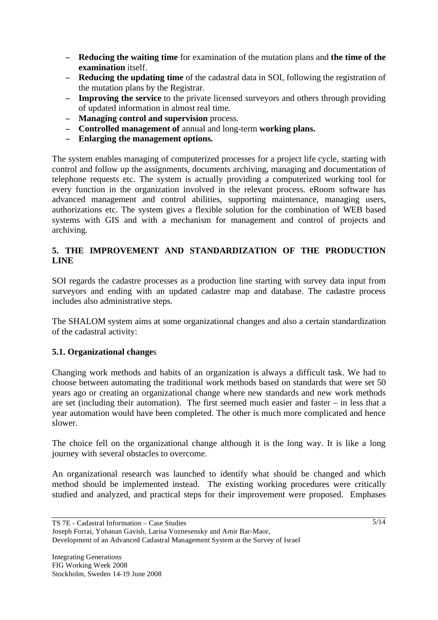- **Reducing the waiting time** for examination of the mutation plans and **the time of the examination** itself.
- **Reducing the updating time** of the cadastral data in SOI, following the registration of the mutation plans by the Registrar.
- **Improving the service** to the private licensed surveyors and others through providing of updated information in almost real time.
- **Managing control and supervision** process.
- **Controlled management of** annual and long-term **working plans.**
- **Enlarging the management options.**

The system enables managing of computerized processes for a project life cycle, starting with control and follow up the assignments, documents archiving, managing and documentation of telephone requests etc. The system is actually providing a computerized working tool for every function in the organization involved in the relevant process. eRoom software has advanced management and control abilities, supporting maintenance, managing users, authorizations etc. The system gives a flexible solution for the combination of WEB based systems with GIS and with a mechanism for management and control of projects and archiving.

# **5. THE IMPROVEMENT AND STANDARDIZATION OF THE PRODUCTION LINE**

SOI regards the cadastre processes as a production line starting with survey data input from surveyors and ending with an updated cadastre map and database. The cadastre process includes also administrative steps.

The SHALOM system aims at some organizational changes and also a certain standardization of the cadastral activity:

#### **5.1. Organizational change**s

Changing work methods and habits of an organization is always a difficult task. We had to choose between automating the traditional work methods based on standards that were set 50 years ago or creating an organizational change where new standards and new work methods are set (including their automation). The first seemed much easier and faster – in less that a year automation would have been completed. The other is much more complicated and hence slower.

The choice fell on the organizational change although it is the long way. It is like a long journey with several obstacles to overcome.

An organizational research was launched to identify what should be changed and which method should be implemented instead. The existing working procedures were critically studied and analyzed, and practical steps for their improvement were proposed. Emphases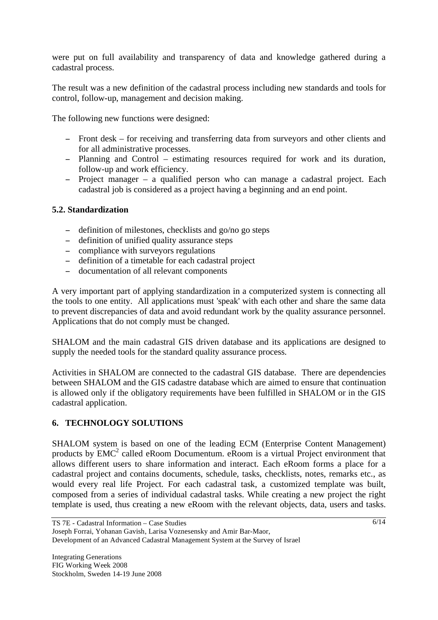were put on full availability and transparency of data and knowledge gathered during a cadastral process.

The result was a new definition of the cadastral process including new standards and tools for control, follow-up, management and decision making.

The following new functions were designed:

- Front desk for receiving and transferring data from surveyors and other clients and for all administrative processes.
- Planning and Control estimating resources required for work and its duration, follow-up and work efficiency.
- Project manager a qualified person who can manage a cadastral project. Each cadastral job is considered as a project having a beginning and an end point.

#### **5.2. Standardization**

- definition of milestones, checklists and go/no go steps
- definition of unified quality assurance steps
- compliance with surveyors regulations
- definition of a timetable for each cadastral project
- documentation of all relevant components

A very important part of applying standardization in a computerized system is connecting all the tools to one entity. All applications must 'speak' with each other and share the same data to prevent discrepancies of data and avoid redundant work by the quality assurance personnel. Applications that do not comply must be changed.

SHALOM and the main cadastral GIS driven database and its applications are designed to supply the needed tools for the standard quality assurance process.

Activities in SHALOM are connected to the cadastral GIS database. There are dependencies between SHALOM and the GIS cadastre database which are aimed to ensure that continuation is allowed only if the obligatory requirements have been fulfilled in SHALOM or in the GIS cadastral application.

#### **6. TECHNOLOGY SOLUTIONS**

SHALOM system is based on one of the leading ECM (Enterprise Content Management) products by EMC<sup>2</sup> called eRoom Documentum. eRoom is a virtual Project environment that allows different users to share information and interact. Each eRoom forms a place for a cadastral project and contains documents, schedule, tasks, checklists, notes, remarks etc., as would every real life Project. For each cadastral task, a customized template was built, composed from a series of individual cadastral tasks. While creating a new project the right template is used, thus creating a new eRoom with the relevant objects, data, users and tasks.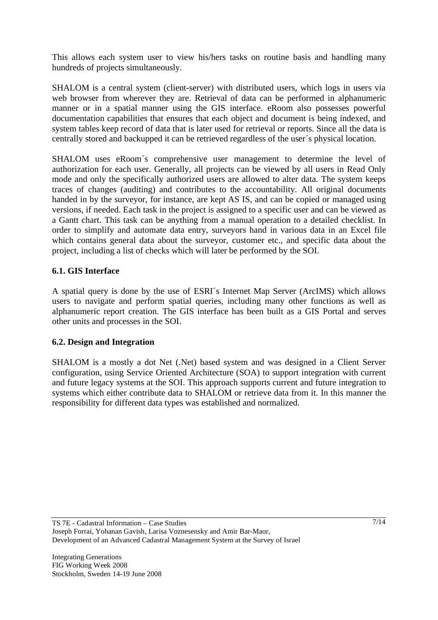This allows each system user to view his/hers tasks on routine basis and handling many hundreds of projects simultaneously.

SHALOM is a central system (client-server) with distributed users, which logs in users via web browser from wherever they are. Retrieval of data can be performed in alphanumeric manner or in a spatial manner using the GIS interface. eRoom also possesses powerful documentation capabilities that ensures that each object and document is being indexed, and system tables keep record of data that is later used for retrieval or reports. Since all the data is centrally stored and backupped it can be retrieved regardless of the user´s physical location.

SHALOM uses eRoom´s comprehensive user management to determine the level of authorization for each user. Generally, all projects can be viewed by all users in Read Only mode and only the specifically authorized users are allowed to alter data. The system keeps traces of changes (auditing) and contributes to the accountability. All original documents handed in by the surveyor, for instance, are kept AS IS, and can be copied or managed using versions, if needed. Each task in the project is assigned to a specific user and can be viewed as a Gantt chart. This task can be anything from a manual operation to a detailed checklist. In order to simplify and automate data entry, surveyors hand in various data in an Excel file which contains general data about the surveyor, customer etc., and specific data about the project, including a list of checks which will later be performed by the SOI.

# **6.1. GIS Interface**

A spatial query is done by the use of ESRI´s Internet Map Server (ArcIMS) which allows users to navigate and perform spatial queries, including many other functions as well as alphanumeric report creation. The GIS interface has been built as a GIS Portal and serves other units and processes in the SOI.

#### **6.2. Design and Integration**

SHALOM is a mostly a dot Net (.Net) based system and was designed in a Client Server configuration, using Service Oriented Architecture (SOA) to support integration with current and future legacy systems at the SOI. This approach supports current and future integration to systems which either contribute data to SHALOM or retrieve data from it. In this manner the responsibility for different data types was established and normalized.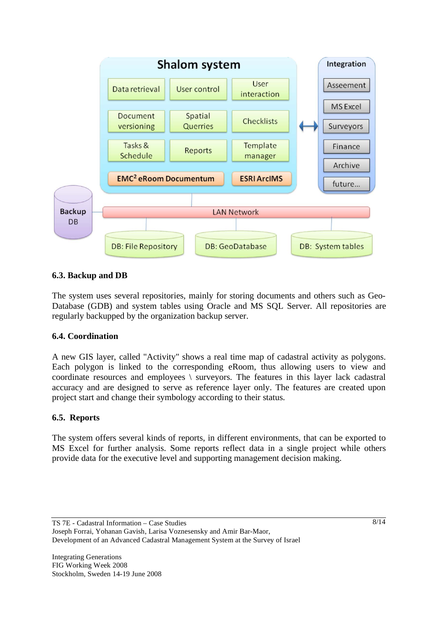

# **6.3. Backup and DB**

The system uses several repositories, mainly for storing documents and others such as Geo-Database (GDB) and system tables using Oracle and MS SQL Server. All repositories are regularly backupped by the organization backup server.

#### **6.4. Coordination**

A new GIS layer, called "Activity" shows a real time map of cadastral activity as polygons. Each polygon is linked to the corresponding eRoom, thus allowing users to view and coordinate resources and employees \ surveyors. The features in this layer lack cadastral accuracy and are designed to serve as reference layer only. The features are created upon project start and change their symbology according to their status.

#### **6.5. Reports**

The system offers several kinds of reports, in different environments, that can be exported to MS Excel for further analysis. Some reports reflect data in a single project while others provide data for the executive level and supporting management decision making.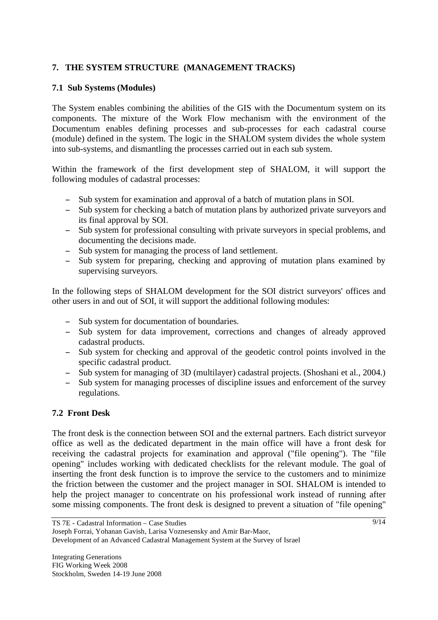# **7. THE SYSTEM STRUCTURE (MANAGEMENT TRACKS)**

# **7.1 Sub Systems (Modules)**

The System enables combining the abilities of the GIS with the Documentum system on its components. The mixture of the Work Flow mechanism with the environment of the Documentum enables defining processes and sub-processes for each cadastral course (module) defined in the system. The logic in the SHALOM system divides the whole system into sub-systems, and dismantling the processes carried out in each sub system.

Within the framework of the first development step of SHALOM, it will support the following modules of cadastral processes:

- Sub system for examination and approval of a batch of mutation plans in SOI.
- Sub system for checking a batch of mutation plans by authorized private surveyors and its final approval by SOI.
- Sub system for professional consulting with private surveyors in special problems, and documenting the decisions made.
- Sub system for managing the process of land settlement.
- Sub system for preparing, checking and approving of mutation plans examined by supervising surveyors.

In the following steps of SHALOM development for the SOI district surveyors' offices and other users in and out of SOI, it will support the additional following modules:

- Sub system for documentation of boundaries.
- Sub system for data improvement, corrections and changes of already approved cadastral products.
- Sub system for checking and approval of the geodetic control points involved in the specific cadastral product.
- Sub system for managing of 3D (multilayer) cadastral projects. (Shoshani et al., 2004.)
- Sub system for managing processes of discipline issues and enforcement of the survey regulations.

# **7.2 Front Desk**

The front desk is the connection between SOI and the external partners. Each district surveyor office as well as the dedicated department in the main office will have a front desk for receiving the cadastral projects for examination and approval ("file opening"). The "file opening" includes working with dedicated checklists for the relevant module. The goal of inserting the front desk function is to improve the service to the customers and to minimize the friction between the customer and the project manager in SOI. SHALOM is intended to help the project manager to concentrate on his professional work instead of running after some missing components. The front desk is designed to prevent a situation of "file opening"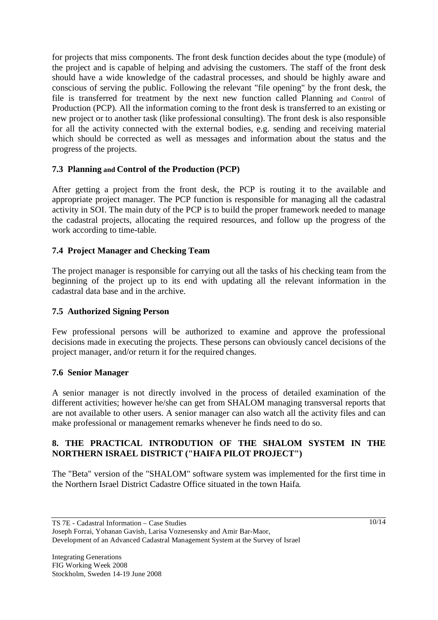for projects that miss components. The front desk function decides about the type (module) of the project and is capable of helping and advising the customers. The staff of the front desk should have a wide knowledge of the cadastral processes, and should be highly aware and conscious of serving the public. Following the relevant "file opening" by the front desk, the file is transferred for treatment by the next new function called Planning and Control of Production (PCP). All the information coming to the front desk is transferred to an existing or new project or to another task (like professional consulting). The front desk is also responsible for all the activity connected with the external bodies, e.g. sending and receiving material which should be corrected as well as messages and information about the status and the progress of the projects.

# **7.3 Planning and Control of the Production (PCP)**

After getting a project from the front desk, the PCP is routing it to the available and appropriate project manager. The PCP function is responsible for managing all the cadastral activity in SOI. The main duty of the PCP is to build the proper framework needed to manage the cadastral projects, allocating the required resources, and follow up the progress of the work according to time-table.

# **7.4 Project Manager and Checking Team**

The project manager is responsible for carrying out all the tasks of his checking team from the beginning of the project up to its end with updating all the relevant information in the cadastral data base and in the archive.

### **7.5 Authorized Signing Person**

Few professional persons will be authorized to examine and approve the professional decisions made in executing the projects. These persons can obviously cancel decisions of the project manager, and/or return it for the required changes.

#### **7.6 Senior Manager**

A senior manager is not directly involved in the process of detailed examination of the different activities; however he/she can get from SHALOM managing transversal reports that are not available to other users. A senior manager can also watch all the activity files and can make professional or management remarks whenever he finds need to do so.

#### **8. THE PRACTICAL INTRODUTION OF THE SHALOM SYSTEM IN THE NORTHERN ISRAEL DISTRICT ("HAIFA PILOT PROJECT")**

The "Beta" version of the "SHALOM" software system was implemented for the first time in the Northern Israel District Cadastre Office situated in the town Haifa.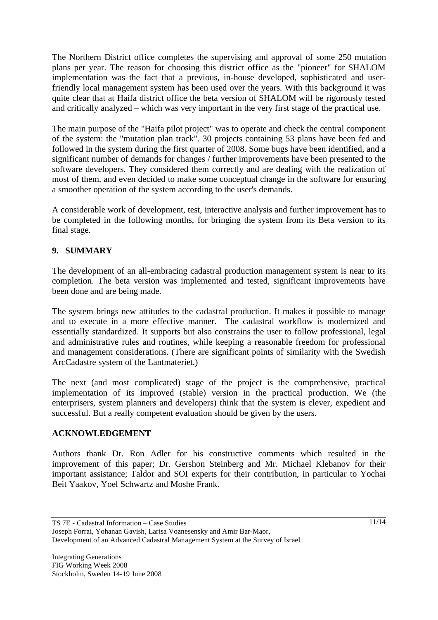The Northern District office completes the supervising and approval of some 250 mutation plans per year. The reason for choosing this district office as the "pioneer" for SHALOM implementation was the fact that a previous, in-house developed, sophisticated and userfriendly local management system has been used over the years. With this background it was quite clear that at Haifa district office the beta version of SHALOM will be rigorously tested and critically analyzed – which was very important in the very first stage of the practical use.

The main purpose of the "Haifa pilot project" was to operate and check the central component of the system: the "mutation plan track". 30 projects containing 53 plans have been fed and followed in the system during the first quarter of 2008. Some bugs have been identified, and a significant number of demands for changes / further improvements have been presented to the software developers. They considered them correctly and are dealing with the realization of most of them, and even decided to make some conceptual change in the software for ensuring a smoother operation of the system according to the user's demands.

A considerable work of development, test, interactive analysis and further improvement has to be completed in the following months, for bringing the system from its Beta version to its final stage.

# **9. SUMMARY**

The development of an all-embracing cadastral production management system is near to its completion. The beta version was implemented and tested, significant improvements have been done and are being made.

The system brings new attitudes to the cadastral production. It makes it possible to manage and to execute in a more effective manner. The cadastral workflow is modernized and essentially standardized. It supports but also constrains the user to follow professional, legal and administrative rules and routines, while keeping a reasonable freedom for professional and management considerations. (There are significant points of similarity with the Swedish ArcCadastre system of the Lantmateriet.)

The next (and most complicated) stage of the project is the comprehensive, practical implementation of its improved (stable) version in the practical production. We (the enterprisers, system planners and developers) think that the system is clever, expedient and successful. But a really competent evaluation should be given by the users.

#### **ACKNOWLEDGEMENT**

Authors thank Dr. Ron Adler for his constructive comments which resulted in the improvement of this paper; Dr. Gershon Steinberg and Mr. Michael Klebanov for their important assistance; Taldor and SOI experts for their contribution, in particular to Yochai Beit Yaakov, Yoel Schwartz and Moshe Frank.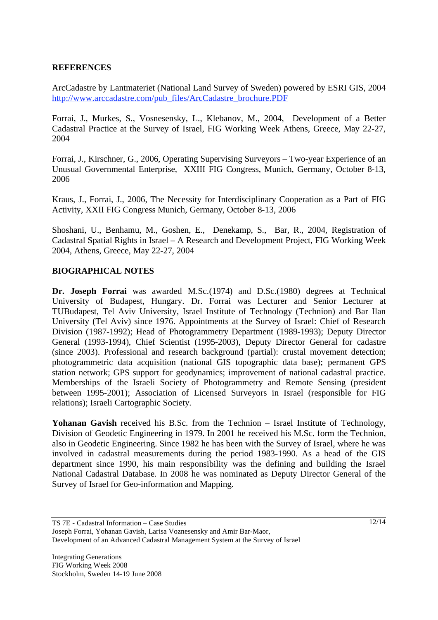#### **REFERENCES**

ArcCadastre by Lantmateriet (National Land Survey of Sweden) powered by ESRI GIS, 2004 http://www.arccadastre.com/pub\_files/ArcCadastre\_brochure.PDF

Forrai, J., Murkes, S., Vosnesensky, L., Klebanov, M., 2004, Development of a Better Cadastral Practice at the Survey of Israel, FIG Working Week Athens, Greece, May 22-27, 2004

Forrai, J., Kirschner, G., 2006, Operating Supervising Surveyors – Two-year Experience of an Unusual Governmental Enterprise, XXIII FIG Congress, Munich, Germany, October 8-13, 2006

Kraus, J., Forrai, J., 2006, The Necessity for Interdisciplinary Cooperation as a Part of FIG Activity, XXII FIG Congress Munich, Germany, October 8-13, 2006

Shoshani, U., Benhamu, M., Goshen, E., Denekamp, S., Bar, R., 2004, Registration of Cadastral Spatial Rights in Israel – A Research and Development Project, FIG Working Week 2004, Athens, Greece, May 22-27, 2004

#### **BIOGRAPHICAL NOTES**

**Dr. Joseph Forrai** was awarded M.Sc.(1974) and D.Sc.(1980) degrees at Technical University of Budapest, Hungary. Dr. Forrai was Lecturer and Senior Lecturer at TUBudapest, Tel Aviv University, Israel Institute of Technology (Technion) and Bar Ilan University (Tel Aviv) since 1976. Appointments at the Survey of Israel: Chief of Research Division (1987-1992); Head of Photogrammetry Department (1989-1993); Deputy Director General (1993-1994), Chief Scientist (1995-2003), Deputy Director General for cadastre (since 2003). Professional and research background (partial): crustal movement detection; photogrammetric data acquisition (national GIS topographic data base); permanent GPS station network; GPS support for geodynamics; improvement of national cadastral practice. Memberships of the Israeli Society of Photogrammetry and Remote Sensing (president between 1995-2001); Association of Licensed Surveyors in Israel (responsible for FIG relations); Israeli Cartographic Society.

Yohanan Gavish received his B.Sc. from the Technion – Israel Institute of Technology, Division of Geodetic Engineering in 1979. In 2001 he received his M.Sc. form the Technion, also in Geodetic Engineering. Since 1982 he has been with the Survey of Israel, where he was involved in cadastral measurements during the period 1983-1990. As a head of the GIS department since 1990, his main responsibility was the defining and building the Israel National Cadastral Database. In 2008 he was nominated as Deputy Director General of the Survey of Israel for Geo-information and Mapping.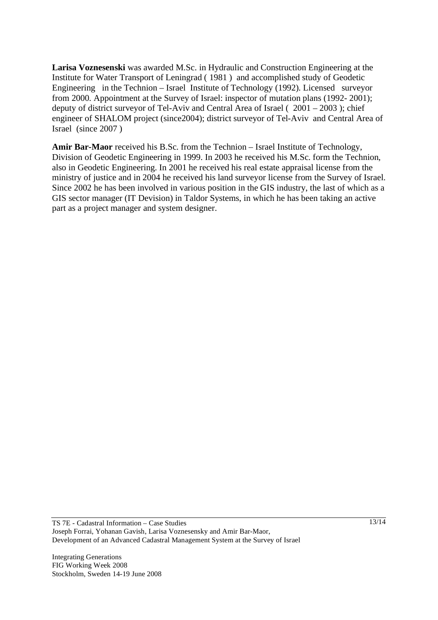**Larisa Voznesenski** was awarded M.Sc. in Hydraulic and Construction Engineering at the Institute for Water Transport of Leningrad ( 1981 ) and accomplished study of Geodetic Engineering in the Technion – Israel Institute of Technology (1992). Licensed surveyor from 2000. Appointment at the Survey of Israel: inspector of mutation plans (1992- 2001); deputy of district surveyor of Tel-Aviv and Central Area of Israel ( 2001 – 2003 ); chief engineer of SHALOM project (since2004); district surveyor of Tel-Aviv and Central Area of Israel (since 2007 )

**Amir Bar-Maor** received his B.Sc. from the Technion – Israel Institute of Technology, Division of Geodetic Engineering in 1999. In 2003 he received his M.Sc. form the Technion, also in Geodetic Engineering. In 2001 he received his real estate appraisal license from the ministry of justice and in 2004 he received his land surveyor license from the Survey of Israel. Since 2002 he has been involved in various position in the GIS industry, the last of which as a GIS sector manager (IT Devision) in Taldor Systems, in which he has been taking an active part as a project manager and system designer.

Integrating Generations FIG Working Week 2008 Stockholm, Sweden 14-19 June 2008